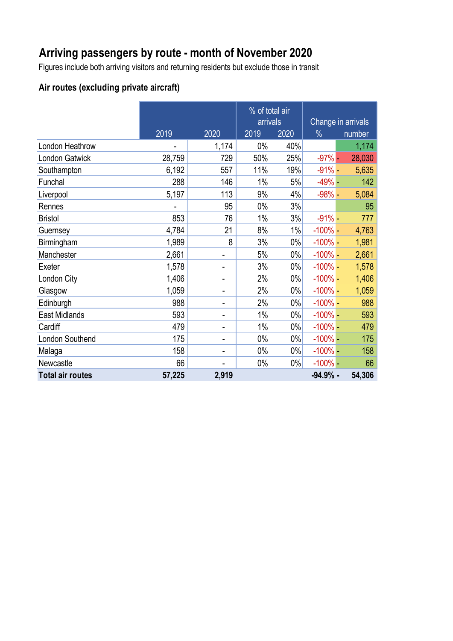# **Arriving passengers by route - month of November 2020**

Figures include both arriving visitors and returning residents but exclude those in transit

### **Air routes (excluding private aircraft)**

|                         |        |                              | % of total air<br>arrivals |       | Change in arrivals |        |
|-------------------------|--------|------------------------------|----------------------------|-------|--------------------|--------|
|                         |        |                              |                            |       |                    |        |
|                         | 2019   | 2020                         | 2019                       | 2020  | $\frac{0}{0}$      | number |
| London Heathrow         |        | 1,174                        | 0%                         | 40%   |                    | 1,174  |
| London Gatwick          | 28,759 | 729                          | 50%                        | 25%   | $-97%$ -           | 28,030 |
| Southampton             | 6,192  | 557                          | 11%                        | 19%   | $-91% -$           | 5,635  |
| Funchal                 | 288    | 146                          | 1%                         | 5%    | $-49% -$           | 142    |
| Liverpool               | 5,197  | 113                          | 9%                         | 4%    | $-98% -$           | 5,084  |
| Rennes                  |        | 95                           | 0%                         | 3%    |                    | 95     |
| <b>Bristol</b>          | 853    | 76                           | 1%                         | 3%    | $-91% -$           | 777    |
| Guernsey                | 4,784  | 21                           | 8%                         | 1%    | $-100\%$ –         | 4,763  |
| Birmingham              | 1,989  | 8                            | 3%                         | $0\%$ | $-100\%$ -         | 1,981  |
| Manchester              | 2,661  |                              | 5%                         | $0\%$ | $-100\%$ -         | 2,661  |
| Exeter                  | 1,578  | $\overline{\phantom{0}}$     | 3%                         | 0%    | $-100\%$ -         | 1,578  |
| London City             | 1,406  | $\overline{\phantom{0}}$     | 2%                         | $0\%$ | $-100\%$ -         | 1,406  |
| Glasgow                 | 1,059  | $\blacksquare$               | 2%                         | $0\%$ | $-100\%$ –         | 1,059  |
| Edinburgh               | 988    | $\overline{a}$               | 2%                         | $0\%$ | $-100\%$ -         | 988    |
| <b>East Midlands</b>    | 593    |                              | 1%                         | $0\%$ | $-100\%$ –         | 593    |
| Cardiff                 | 479    | $\qquad \qquad \blacksquare$ | 1%                         | $0\%$ | $-100\%$ -         | 479    |
| London Southend         | 175    | $\overline{\phantom{0}}$     | 0%                         | $0\%$ | $-100\%$ -         | 175    |
| Malaga                  | 158    | $\qquad \qquad \blacksquare$ | $0\%$                      | $0\%$ | $-100\%$ –         | 158    |
| Newcastle               | 66     |                              | $0\%$                      | $0\%$ | $-100\%$ -         | 66     |
| <b>Total air routes</b> | 57,225 | 2,919                        |                            |       | $-94.9%$ -         | 54,306 |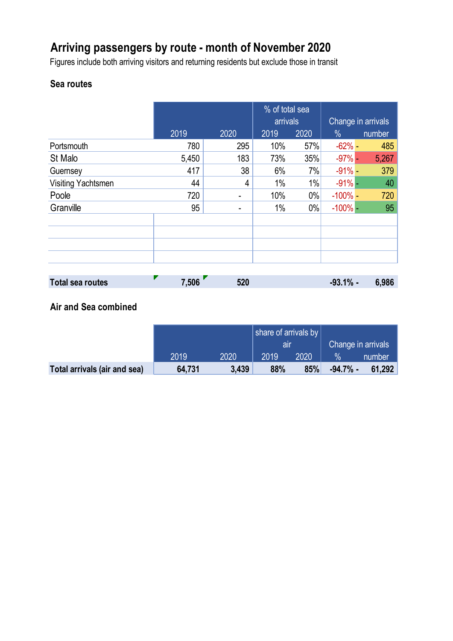# **Arriving passengers by route - month of November 2020**

Figures include both arriving visitors and returning residents but exclude those in transit

## **Sea routes**

|                    |       |      | % of total sea<br>arrivals |       | Change in arrivals |        |
|--------------------|-------|------|----------------------------|-------|--------------------|--------|
|                    |       |      |                            |       |                    |        |
|                    | 2019  | 2020 | 2019                       | 2020  | $\%$               | number |
| Portsmouth         | 780   | 295  | 10%                        | 57%   | $-62%$ -           | 485    |
| St Malo            | 5,450 | 183  | 73%                        | 35%   | $-97%$ -           | 5,267  |
| Guernsey           | 417   | 38   | 6%                         | 7%    | $-91%$ -           | 379    |
| Visiting Yachtsmen | 44    | 4    | 1%                         | 1%    | $-91%$ -           | 40     |
| Poole              | 720   |      | 10%                        | $0\%$ | $-100\%$ –         | 720    |
| Granville          | 95    |      | 1%                         | $0\%$ | $-100\%$ –         | 95     |
|                    |       |      |                            |       |                    |        |
|                    |       |      |                            |       |                    |        |
|                    |       |      |                            |       |                    |        |
|                    |       |      |                            |       |                    |        |
|                    |       |      |                            |       |                    |        |

| <b>Total sea routes</b> | 7,506 | 520 | $-93.1%$ - | 6,986 |
|-------------------------|-------|-----|------------|-------|
|                         |       |     |            |       |

## **Air and Sea combined**

|                              |        |       | share of arrivals by |      |                    |        |
|------------------------------|--------|-------|----------------------|------|--------------------|--------|
|                              |        |       | lair                 |      | Change in arrivals |        |
|                              | 2019   | 2020  | 2019                 | 2020 |                    | number |
| Total arrivals (air and sea) | 64,731 | 3,439 | 88%                  | 85%  | $-94.7\%$ -        | 61,292 |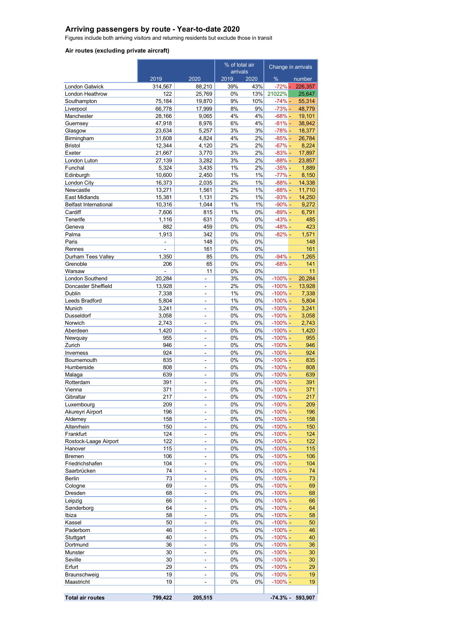#### **Arriving passengers by route - Year-to-date 2020**

Figures include both arriving visitors and returning residents but exclude those in transit

#### **Air routes (excluding private aircraft)**

|                                         |                     | % of total air           |                  | Change in arrivals |                          |                  |
|-----------------------------------------|---------------------|--------------------------|------------------|--------------------|--------------------------|------------------|
|                                         | 2019                | 2020                     | arrivals<br>2019 | 2020               | %                        | number           |
| <b>London Gatwick</b>                   | 314,567             | 88,210                   | 39%              | 43%                | $-72% -$                 | 226,357          |
| London Heathrow                         | 122                 | 25,769                   | $0\%$            | 13%                | 21022%                   | 25,647           |
| Southampton                             | 75,184              | 19,870                   | 9%               | 10%                | $-74% -$                 | 55,314           |
| Liverpool                               | 66,778              | 17,999                   | 8%               | 9%                 | $-73% -$                 | 48,779           |
| Manchester                              | 28,166              | 9,065                    | 4%               | 4%                 | $-68% -$                 | 19,101           |
| Guernsey                                | 47,918              | 8,976                    | 6%               | 4%                 | $-81% -$                 | 38,942           |
| Glasgow<br>Birmingham                   | 23,634<br>31,608    | 5,257<br>4,824           | 3%<br>4%         | 3%<br>2%           | $-78% -$<br>$-85% -$     | 18,377<br>26,784 |
| <b>Bristol</b>                          | 12,344              | 4,120                    | 2%               | 2%                 | $-67% -$                 | 8,224            |
| Exeter                                  | 21,667              | 3,770                    | 3%               | 2%                 | $-83%$ -                 | 17,897           |
| London Luton                            | 27,139              | 3,282                    | 3%               | 2%                 | $-88% -$                 | 23,857           |
| Funchal                                 | 5,324               | 3,435                    | 1%               | 2%                 | $-35% -$                 | 1,889            |
| Edinburgh                               | 10,600              | 2,450                    | 1%               | 1%                 | $-77% -$                 | 8,150            |
| London City                             | 16,373              | 2,035                    | 2%               | 1%                 | $-88% -$                 | 14,338           |
| Newcastle                               | 13,271              | 1,561                    | 2%               | 1%                 | $-88% -$                 | 11,710           |
| East Midlands                           | 15,381              | 1,131                    | 2%               | 1%                 | $-93% -$                 | 14,250           |
| <b>Belfast International</b><br>Cardiff | 10,316<br>7,606     | 1,044<br>815             | 1%<br>1%         | 1%<br>0%           | $-90\% -$<br>$-89% -$    | 9,272<br>6,791   |
| Tenerife                                | 1,116               | 631                      | 0%               | 0%                 | $-43% -$                 | 485              |
| Geneva                                  | 882                 | 459                      | 0%               | 0%                 | $-48% -$                 | 423              |
| Palma                                   | 1,913               | 342                      | 0%               | 0%                 | $-82% -$                 | 1,571            |
| Paris                                   | ä,                  | 148                      | 0%               | 0%                 |                          | 148              |
| Rennes                                  | $\mathbf{r}$        | 161                      | $0\%$            | 0%                 |                          | 161              |
| Durham Tees Valley                      | 1,350               | 85                       | 0%               | 0%                 | $-94\%$ -                | 1,265            |
| Grenoble                                | 206                 | 65                       | $0\%$            | 0%                 | $-68% -$                 | 141              |
| Warsaw                                  | $\bar{\phantom{a}}$ | 11                       | 0%               | 0%                 |                          | 11               |
| London Southend<br>Doncaster Sheffield  | 20,284<br>13,928    | L.<br>÷,                 | 3%<br>2%         | 0%<br>0%           | $-100\%$ -<br>$-100\%$ - | 20.284<br>13,928 |
| Dublin                                  | 7,338               | ä,                       | 1%               | 0%                 | $-100\%$ -               | 7,338            |
| Leeds Bradford                          | 5,804               | ÷,                       | 1%               | 0%                 | $-100\%$ -               | 5,804            |
| Munich                                  | 3,241               | $\overline{a}$           | 0%               | 0%                 | $-100\%$ -               | 3,241            |
| Dusseldorf                              | 3,058               |                          | 0%               | 0%                 | $-100% -$                | 3,058            |
| Norwich                                 | 2,743               | ÷,                       | 0%               | 0%                 | $-100\%$ -               | 2,743            |
| Aberdeen                                | 1,420               | ÷,                       | 0%               | 0%                 | $-100%$ -                | 1,420            |
| Newquay                                 | 955                 | $\overline{a}$           | 0%               | 0%                 | $-100% -$                | 955              |
| Zurich                                  | 946                 | ÷,                       | 0%               | 0%                 | $-100\%$ -               | 946              |
| Inverness<br>Bournemouth                | 924<br>835          | ä,<br>÷,                 | 0%<br>0%         | 0%<br>0%           | $-100\%$ -<br>$-100\%$ - | 924<br>835       |
| Humberside                              | 808                 | $\overline{a}$           | 0%               | 0%                 | $-100\%$ -               | 808              |
| Malaga                                  | 639                 | ÷,                       | 0%               | 0%                 | $-100% -$                | 639              |
| Rotterdam                               | 391                 | ÷,                       | 0%               | 0%                 | $-100% -$                | 391              |
| Vienna                                  | 371                 | ä,                       | 0%               | 0%                 | $-100\%$ -               | 371              |
| Gibraltar                               | 217                 | L.                       | 0%               | 0%                 | $-100\%$ -               | 217              |
| Luxembourg                              | 209                 | $\overline{\phantom{0}}$ | 0%               | 0%                 | $-100\%$ -               | 209              |
| Akureyri Airport                        | 196                 | ÷                        | 0%               | 0%                 | $-100\%$ -               | 196              |
| Alderney<br>Altenrhein                  | 158<br>150          | ÷,<br>ä,                 | 0%<br>0%         | 0%<br>0%           | $-100%$ -<br>$-100\%$ -  | 158<br>150       |
| Frankfurt                               | 124                 | ÷,                       | 0%               | 0%                 | $-100%$ -                | 124              |
| Rostock-Laage Airport                   | 122                 | ÷,                       | 0%               | 0%                 | $-100\%$ -               | 122              |
| Hanover                                 | 115                 | ÷                        | 0%               | 0%                 | $-100% -$                | 115              |
| <b>Bremen</b>                           | 106                 | ÷,                       | 0%               | 0%                 | $-100%$ -                | 106              |
| Friedrichshafen                         | 104                 | ÷                        | 0%               | 0%                 | $-100\%$ -               | 104              |
| Saarbrücken                             | 74                  |                          | 0%               | 0%                 | $-100\%$ -               | 74               |
| Berlin                                  | 73                  | $\frac{1}{2}$            | 0%               | 0%                 | $-100\%$ -               | 73               |
| Cologne<br>Dresden                      | 69<br>68            | ÷<br>÷,                  | 0%<br>0%         | 0%<br>0%           | $-100\%$ -<br>$-100%$ -  | 69<br>68         |
| Leipzig                                 | 66                  | $\overline{\phantom{0}}$ | $0\%$            | 0%                 | $-100%$ -                | 66               |
| Sønderborg                              | 64                  | ÷                        | 0%               | 0%                 | $-100\%$ -               | 64               |
| Ibiza                                   | 58                  | ÷,                       | 0%               | 0%                 | $-100\%$ -               | 58               |
| Kassel                                  | 50                  | ÷,                       | 0%               | 0%                 | $-100\%$ -               | 50               |
| Paderborn                               | 46                  | ÷                        | 0%               | 0%                 | $-100%$ -                | 46               |
| Stuttgart                               | 40                  | $\frac{1}{2}$            | $0\%$            | 0%                 | $-100\%$ -               | 40               |
| Dortmund                                | 36                  | ÷,                       | 0%               | 0%                 | $-100%$ -                | 36               |
| Munster<br>Seville                      | 30<br>30            | ÷,<br>÷,                 | 0%<br>0%         | 0%<br>0%           | $-100%$ -<br>$-100\%$ -  | 30               |
| Erfurt                                  | 29                  | $\overline{a}$           | 0%               | 0%                 | $-100\%$ -               | 30<br>29         |
| Braunschweig                            | 19                  | ÷,                       | 0%               | 0%                 | $-100%$ -                | 19               |
| Maastricht                              | 19                  | ä,                       | 0%               | 0%                 | $-100\%$ -               | 19               |
|                                         |                     |                          |                  |                    |                          |                  |
| <b>Total air routes</b>                 | 799,422             | 205,515                  |                  |                    | $-74.3%$ -               | 593,907          |